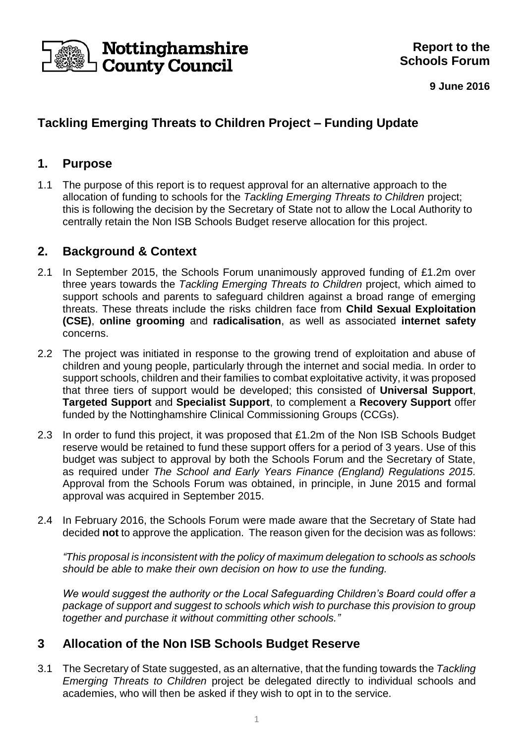

**9 June 2016**

# **Tackling Emerging Threats to Children Project – Funding Update**

### **1. Purpose**

1.1 The purpose of this report is to request approval for an alternative approach to the allocation of funding to schools for the *Tackling Emerging Threats to Children* project; this is following the decision by the Secretary of State not to allow the Local Authority to centrally retain the Non ISB Schools Budget reserve allocation for this project.

## **2. Background & Context**

- 2.1 In September 2015, the Schools Forum unanimously approved funding of £1.2m over three years towards the *Tackling Emerging Threats to Children* project, which aimed to support schools and parents to safeguard children against a broad range of emerging threats. These threats include the risks children face from **Child Sexual Exploitation (CSE)**, **online grooming** and **radicalisation**, as well as associated **internet safety** concerns.
- 2.2 The project was initiated in response to the growing trend of exploitation and abuse of children and young people, particularly through the internet and social media. In order to support schools, children and their families to combat exploitative activity, it was proposed that three tiers of support would be developed; this consisted of **Universal Support**, **Targeted Support** and **Specialist Support**, to complement a **Recovery Support** offer funded by the Nottinghamshire Clinical Commissioning Groups (CCGs).
- 2.3 In order to fund this project, it was proposed that £1.2m of the Non ISB Schools Budget reserve would be retained to fund these support offers for a period of 3 years. Use of this budget was subject to approval by both the Schools Forum and the Secretary of State, as required under *The School and Early Years Finance (England) Regulations 2015.* Approval from the Schools Forum was obtained, in principle, in June 2015 and formal approval was acquired in September 2015.
- 2.4 In February 2016, the Schools Forum were made aware that the Secretary of State had decided **not** to approve the application. The reason given for the decision was as follows:

*"This proposal is inconsistent with the policy of maximum delegation to schools as schools should be able to make their own decision on how to use the funding.*

*We would suggest the authority or the Local Safeguarding Children's Board could offer a package of support and suggest to schools which wish to purchase this provision to group together and purchase it without committing other schools."*

## **3 Allocation of the Non ISB Schools Budget Reserve**

3.1 The Secretary of State suggested, as an alternative, that the funding towards the *Tackling Emerging Threats to Children* project be delegated directly to individual schools and academies, who will then be asked if they wish to opt in to the service.